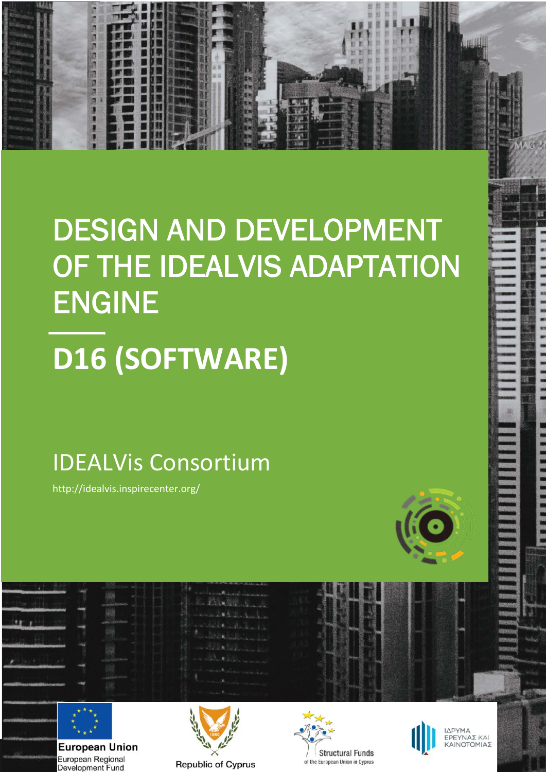## DESIGN AND DEVELOPMENT OF THE IDEALVIS ADAPTATION ENGINE

# **D16 (SOFTWARE)**

### IDEALVis Consortium

http://idealvis.inspirecenter.org/

**1**

50 切 50 万 50 万





**European Union** European Regional Development Fund







ΙΔΡΥΜΑ ΈΡΕΥΝΑΣ ΚΑΙ<br>ΕΡΕΥΝΑΣ ΚΑΙ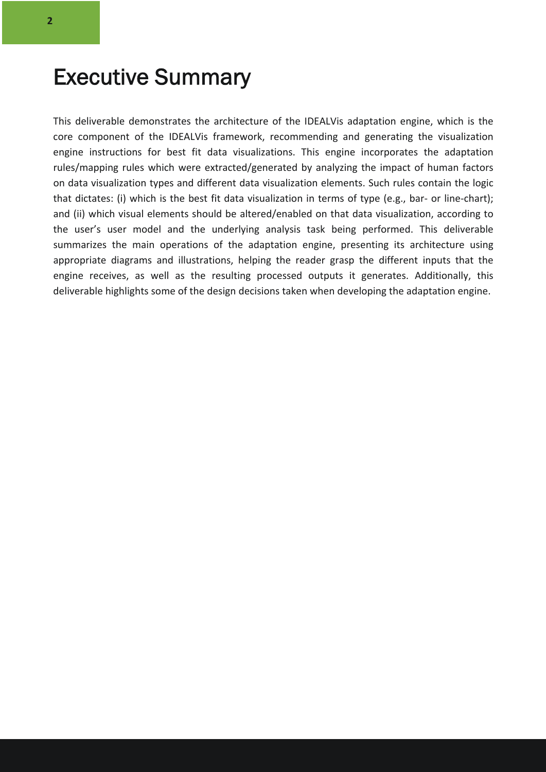### Executive Summary

This deliverable demonstrates the architecture of the IDEALVis adaptation engine, which is the core component of the IDEALVis framework, recommending and generating the visualization engine instructions for best fit data visualizations. This engine incorporates the adaptation rules/mapping rules which were extracted/generated by analyzing the impact of human factors on data visualization types and different data visualization elements. Such rules contain the logic that dictates: (i) which is the best fit data visualization in terms of type (e.g., bar- or line-chart); and (ii) which visual elements should be altered/enabled on that data visualization, according to the user's user model and the underlying analysis task being performed. This deliverable summarizes the main operations of the adaptation engine, presenting its architecture using appropriate diagrams and illustrations, helping the reader grasp the different inputs that the engine receives, as well as the resulting processed outputs it generates. Additionally, this deliverable highlights some of the design decisions taken when developing the adaptation engine.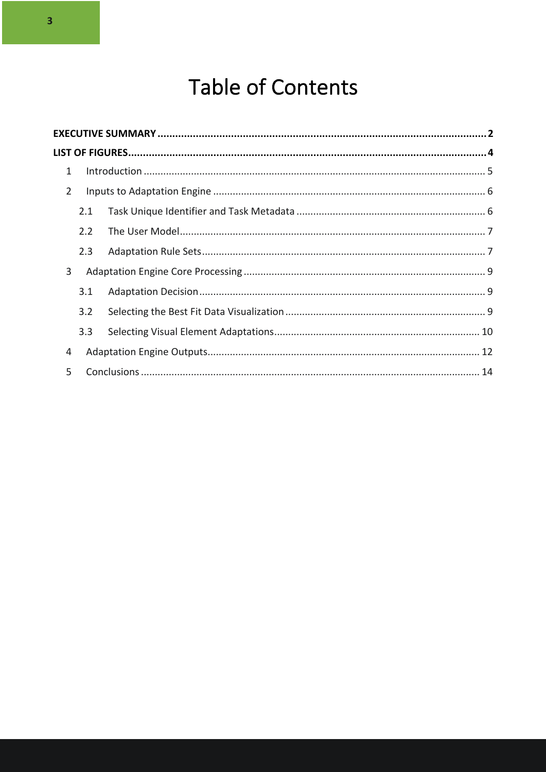### **Table of Contents**

| 1              |     |  |  |  |  |  |  |  |
|----------------|-----|--|--|--|--|--|--|--|
| $\overline{2}$ |     |  |  |  |  |  |  |  |
|                | 2.1 |  |  |  |  |  |  |  |
|                | 2.2 |  |  |  |  |  |  |  |
|                | 2.3 |  |  |  |  |  |  |  |
| 3              |     |  |  |  |  |  |  |  |
|                | 3.1 |  |  |  |  |  |  |  |
|                | 3.2 |  |  |  |  |  |  |  |
|                | 3.3 |  |  |  |  |  |  |  |
| 4              |     |  |  |  |  |  |  |  |
| 5.             |     |  |  |  |  |  |  |  |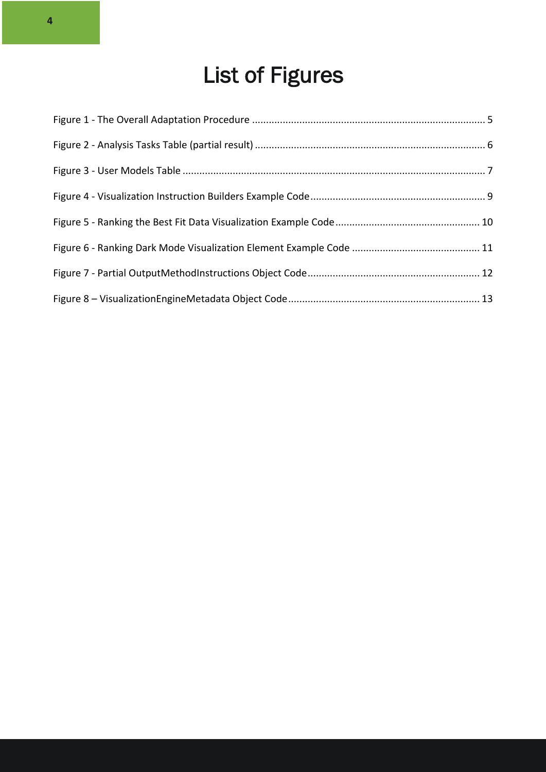### List of Figures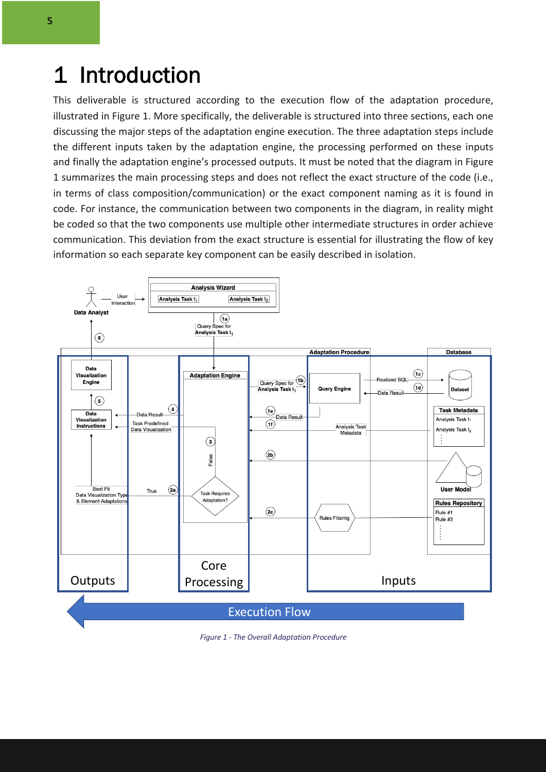### 1 Introduction

This deliverable is structured according to the execution flow of the adaptation procedure, illustrated in Figure 1. More specifically, the deliverable is structured into three sections, each one discussing the major steps of the adaptation engine execution. The three adaptation steps include the different inputs taken by the adaptation engine, the processing performed on these inputs and finally the adaptation engine's processed outputs. It must be noted that the diagram in Figure 1 summarizes the main processing steps and does not reflect the exact structure of the code (i.e., in terms of class composition/communication) or the exact component naming as it is found in code. For instance, the communication between two components in the diagram, in reality might be coded so that the two components use multiple other intermediate structures in order achieve communication. This deviation from the exact structure is essential for illustrating the flow of key information so each separate key component can be easily described in isolation.



*Figure 1 - The Overall Adaptation Procedure*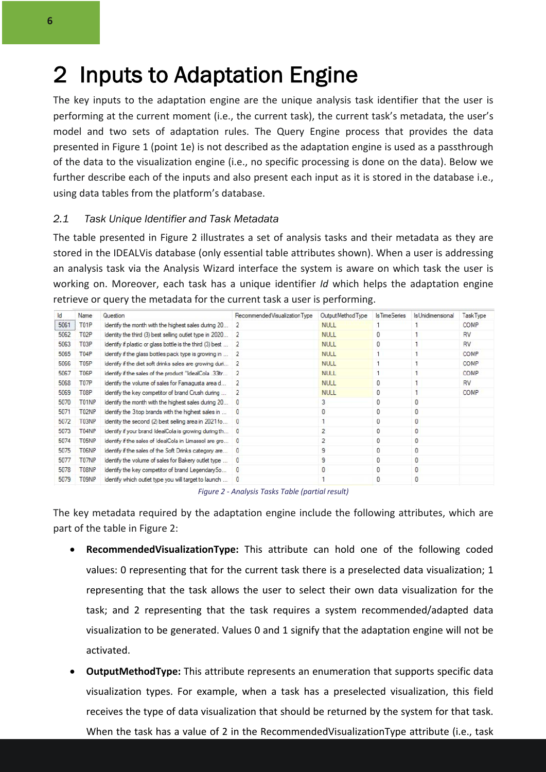### 2 Inputs to Adaptation Engine

The key inputs to the adaptation engine are the unique analysis task identifier that the user is performing at the current moment (i.e., the current task), the current task's metadata, the user's model and two sets of adaptation rules. The Query Engine process that provides the data presented in Figure 1 (point 1e) is not described as the adaptation engine is used as a passthrough of the data to the visualization engine (i.e., no specific processing is done on the data). Below we further describe each of the inputs and also present each input as it is stored in the database i.e., using data tables from the platform's database.

#### *2.1 Task Unique Identifier and Task Metadata*

The table presented in Figure 2 illustrates a set of analysis tasks and their metadata as they are stored in the IDEALVis database (only essential table attributes shown). When a user is addressing an analysis task via the Analysis Wizard interface the system is aware on which task the user is working on. Moreover, each task has a unique identifier *Id* which helps the adaptation engine retrieve or query the metadata for the current task a user is performing.

| <b>Id</b> | Name              | Question                                                  | Recommended Visualization Type | Output Method Type | Is Time Series | IsUnidimensional | Task Type   |  |
|-----------|-------------------|-----------------------------------------------------------|--------------------------------|--------------------|----------------|------------------|-------------|--|
| 5061      | T <sub>0</sub> 1P | Identify the month with the highest sales during 20       | 2                              | <b>NULL</b>        |                |                  | <b>COMP</b> |  |
| 5062      | T <sub>02</sub> P | Identity the third (3) best selling outlet type in 2020   | $\overline{2}$                 | <b>NULL</b>        | 0              |                  | <b>RV</b>   |  |
| 5063      | T03P              | Identify if plastic or glass bottle is the third (3) best | 2                              | <b>NULL</b>        | 0              |                  | <b>RV</b>   |  |
| 5065      | T04P              | Identify if the glass bottles pack type is growing in     | 2                              | <b>NULL</b>        |                |                  | COMP        |  |
| 5066      | T <sub>05</sub> P | Identify if the diet soft drinks sales are growing duri   | 2                              | <b>NULL</b>        |                |                  | COMP        |  |
| 5067      | T06P              | Identify if the sales of the product "IdealCola .33ltr    | $\overline{2}$                 | <b>NULL</b>        |                | <b>COMP</b>      |             |  |
| 5068      | T07P              | Identify the volume of sales for Famagusta area d         | 2                              | <b>NULL</b>        | 0              |                  | <b>RV</b>   |  |
| 5069      | T08P              | Identify the key competitor of brand Crush during         | 2                              | <b>NULL</b>        | 0              |                  | <b>COMP</b> |  |
| 5070      | T01NP             | Identify the month with the highest sales during 20       | $\mathbf{0}$                   | 3                  | 0              | 0                |             |  |
| 5071      | T02NP             | Identify the 3 top brands with the highest sales in       | $\bf{0}$                       |                    | 0              | 0                |             |  |
| 5072      | T03NP             | Identity the second (2) best selling area in 2021 fo      | O                              |                    | $\mathbf{0}$   | 0                |             |  |
| 5073      | T04NP             | Identify if your brand IdealCola is growing during th     | $\bf{0}$                       |                    | 0              |                  |             |  |
| 5074      | T05NP             | Identify if the sales of IdealCola in Limassol are gro    | $\bf{0}$                       |                    | 0              | 0                |             |  |
| 5075      | T06NP             | Identify if the sales of the Soft Drinks category are     | $\mathbf{0}$                   | 9                  | 0              | 0                |             |  |
| 5077      | T07NP             | Identify the volume of sales for Bakery outlet type       | $\bf{0}$                       | 9                  | 0              | 0                |             |  |
| 5078      | T08NP             | Identify the key competitor of brand LegendarySo          | $\mathbf{0}$                   | $\mathbf{0}$       | 0              | 0                |             |  |
| 5079      | <b>T09NP</b>      | Identify which outlet type you will target to launch      | $\mathbf{0}$                   |                    | 0              | 0                |             |  |

*Figure 2 - Analysis Tasks Table (partial result)*

The key metadata required by the adaptation engine include the following attributes, which are part of the table in Figure 2:

- **RecommendedVisualizationType:** This attribute can hold one of the following coded values: 0 representing that for the current task there is a preselected data visualization; 1 representing that the task allows the user to select their own data visualization for the task; and 2 representing that the task requires a system recommended/adapted data visualization to be generated. Values 0 and 1 signify that the adaptation engine will not be activated.
- **OutputMethodType:** This attribute represents an enumeration that supports specific data visualization types. For example, when a task has a preselected visualization, this field receives the type of data visualization that should be returned by the system for that task. When the task has a value of 2 in the RecommendedVisualizationType attribute (i.e., task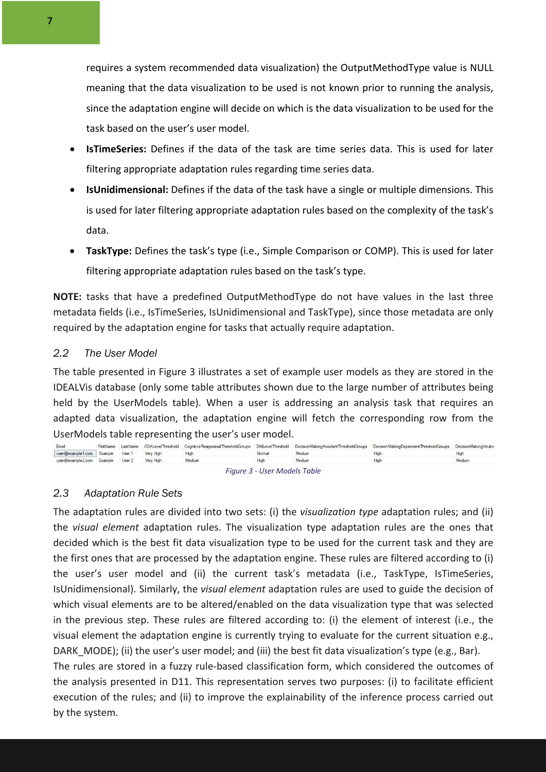requires a system recommended data visualization) the OutputMethodType value is NULL meaning that the data visualization to be used is not known prior to running the analysis, since the adaptation engine will decide on which is the data visualization to be used for the task based on the user's user model.

- **IsTimeSeries:** Defines if the data of the task are time series data. This is used for later filtering appropriate adaptation rules regarding time series data.
- **IsUnidimensional:** Defines if the data of the task have a single or multiple dimensions. This is used for later filtering appropriate adaptation rules based on the complexity of the task's data.
- **TaskType:** Defines the task's type (i.e., Simple Comparison or COMP). This is used for later filtering appropriate adaptation rules based on the task's type.

**NOTE:** tasks that have a predefined OutputMethodType do not have values in the last three metadata fields (i.e., IsTimeSeries, IsUnidimensional and TaskType), since those metadata are only required by the adaptation engine for tasks that actually require adaptation.

#### *2.2 The User Model*

The table presented in Figure 3 illustrates a set of example user models as they are stored in the IDEALVis database (only some table attributes shown due to the large number of attributes being held by the UserModels table). When a user is addressing an analysis task that requires an adapted data visualization, the adaptation engine will fetch the corresponding row from the UserModels table representing the user's user model.

| Email                                      |  |        |        |        | FirstName LastName COALevelThreshold CognitiveReappraisalThresholdGroups DMLevelThreshold DecisionMakingAvoidantThresholdGroups DecisionMakingDependentThresholdGroups DecisionMakingDependentThresholdGroups DecisionMakingDe |        |
|--------------------------------------------|--|--------|--------|--------|--------------------------------------------------------------------------------------------------------------------------------------------------------------------------------------------------------------------------------|--------|
| user@example1.com Example User 1 Very High |  |        | Normal | Medium | High                                                                                                                                                                                                                           | High   |
| user@example2.com Example User 2 Very High |  | Medium |        | Medium | High                                                                                                                                                                                                                           | Medium |
|                                            |  |        |        |        |                                                                                                                                                                                                                                |        |

*Figure 3 - User Models Table*

#### *2.3 Adaptation Rule Sets*

The adaptation rules are divided into two sets: (i) the *visualization type* adaptation rules; and (ii) the *visual element* adaptation rules. The visualization type adaptation rules are the ones that decided which is the best fit data visualization type to be used for the current task and they are the first ones that are processed by the adaptation engine. These rules are filtered according to (i) the user's user model and (ii) the current task's metadata (i.e., TaskType, IsTimeSeries, IsUnidimensional). Similarly, the *visual element* adaptation rules are used to guide the decision of which visual elements are to be altered/enabled on the data visualization type that was selected in the previous step. These rules are filtered according to: (i) the element of interest (i.e., the visual element the adaptation engine is currently trying to evaluate for the current situation e.g., DARK MODE); (ii) the user's user model; and (iii) the best fit data visualization's type (e.g., Bar).

The rules are stored in a fuzzy rule-based classification form, which considered the outcomes of the analysis presented in D11. This representation serves two purposes: (i) to facilitate efficient execution of the rules; and (ii) to improve the explainability of the inference process carried out by the system.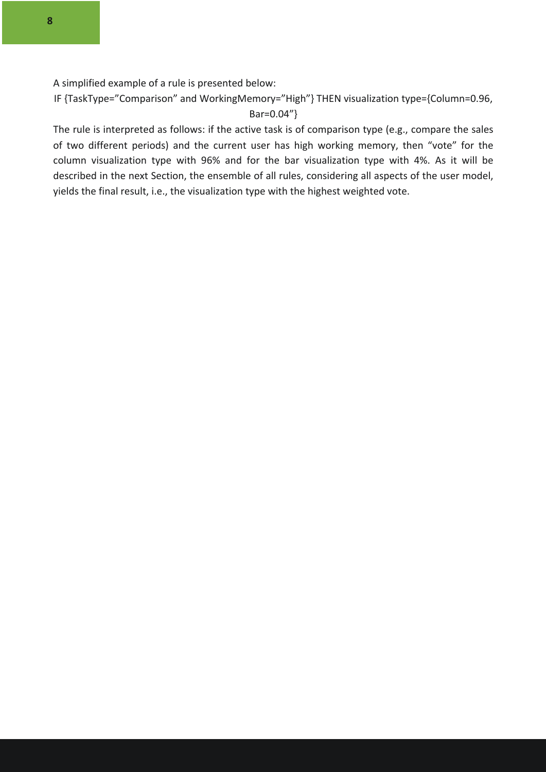A simplified example of a rule is presented below:

IF {TaskType="Comparison" and WorkingMemory="High"} THEN visualization type={Column=0.96, Bar=0.04"}

The rule is interpreted as follows: if the active task is of comparison type (e.g., compare the sales of two different periods) and the current user has high working memory, then "vote" for the column visualization type with 96% and for the bar visualization type with 4%. As it will be described in the next Section, the ensemble of all rules, considering all aspects of the user model, yields the final result, i.e., the visualization type with the highest weighted vote.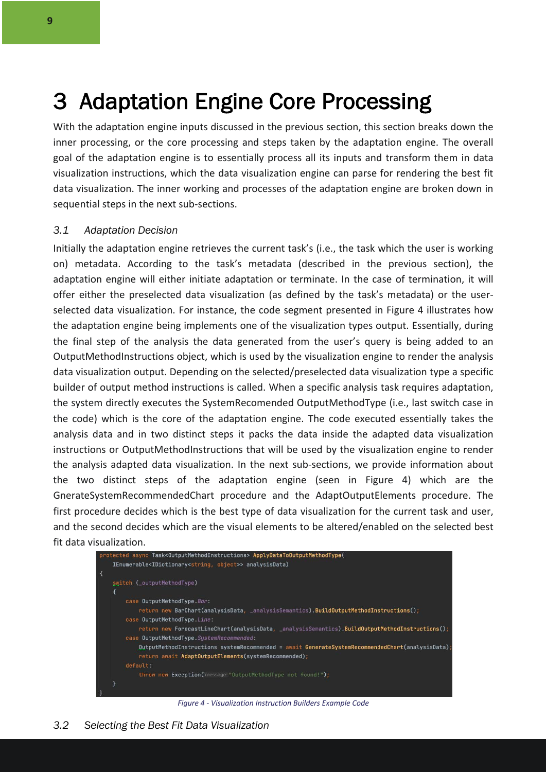### 3 Adaptation Engine Core Processing

With the adaptation engine inputs discussed in the previous section, this section breaks down the inner processing, or the core processing and steps taken by the adaptation engine. The overall goal of the adaptation engine is to essentially process all its inputs and transform them in data visualization instructions, which the data visualization engine can parse for rendering the best fit data visualization. The inner working and processes of the adaptation engine are broken down in sequential steps in the next sub-sections.

#### *3.1 Adaptation Decision*

Initially the adaptation engine retrieves the current task's (i.e., the task which the user is working on) metadata. According to the task's metadata (described in the previous section), the adaptation engine will either initiate adaptation or terminate. In the case of termination, it will offer either the preselected data visualization (as defined by the task's metadata) or the userselected data visualization. For instance, the code segment presented in Figure 4 illustrates how the adaptation engine being implements one of the visualization types output. Essentially, during the final step of the analysis the data generated from the user's query is being added to an OutputMethodInstructions object, which is used by the visualization engine to render the analysis data visualization output. Depending on the selected/preselected data visualization type a specific builder of output method instructions is called. When a specific analysis task requires adaptation, the system directly executes the SystemRecomended OutputMethodType (i.e., last switch case in the code) which is the core of the adaptation engine. The code executed essentially takes the analysis data and in two distinct steps it packs the data inside the adapted data visualization instructions or OutputMethodInstructions that will be used by the visualization engine to render the analysis adapted data visualization. In the next sub-sections, we provide information about the two distinct steps of the adaptation engine (seen in Figure 4) which are the GnerateSystemRecommendedChart procedure and the AdaptOutputElements procedure. The first procedure decides which is the best type of data visualization for the current task and user, and the second decides which are the visual elements to be altered/enabled on the selected best fit data visualization.



*Figure 4 - Visualization Instruction Builders Example Code*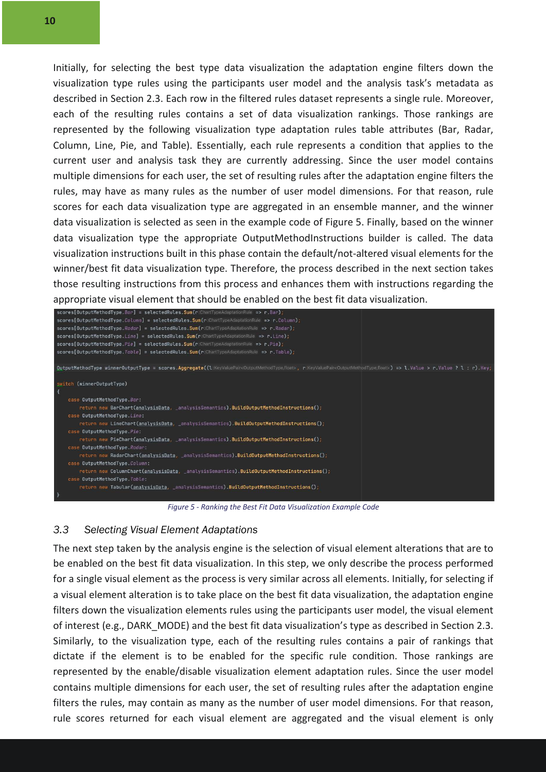Initially, for selecting the best type data visualization the adaptation engine filters down the visualization type rules using the participants user model and the analysis task's metadata as described in Section 2.3. Each row in the filtered rules dataset represents a single rule. Moreover, each of the resulting rules contains a set of data visualization rankings. Those rankings are represented by the following visualization type adaptation rules table attributes (Bar, Radar, Column, Line, Pie, and Table). Essentially, each rule represents a condition that applies to the current user and analysis task they are currently addressing. Since the user model contains multiple dimensions for each user, the set of resulting rules after the adaptation engine filters the rules, may have as many rules as the number of user model dimensions. For that reason, rule scores for each data visualization type are aggregated in an ensemble manner, and the winner data visualization is selected as seen in the example code of Figure 5. Finally, based on the winner data visualization type the appropriate OutputMethodInstructions builder is called. The data visualization instructions built in this phase contain the default/not-altered visual elements for the winner/best fit data visualization type. Therefore, the process described in the next section takes those resulting instructions from this process and enhances them with instructions regarding the appropriate visual element that should be enabled on the best fit data visualization.

| $scores[OutputMethodType.Bar] = selectedRules.Sum(r:CharTypeAdaptationRule => r.Bar);$                                                                                                                                            |
|-----------------------------------------------------------------------------------------------------------------------------------------------------------------------------------------------------------------------------------|
| scores[OutputMethodType.Column] = selectedRules.Sum(r:ChartTypeAdaptationRule => r.Column);                                                                                                                                       |
| $score[OutputMethodType.Radar] = selectedRules.Sum(r:\text{CharTypeAdaptationRule} = > r.Radar);$                                                                                                                                 |
| $score[OutputMethodTypeu, Line] = selectedRules, Sum(r:CharTypeAdaptationRule => r, Line);$                                                                                                                                       |
| $scores[OutputMethodType.Pie] = selectedRules.Sum(r:CharTypeAdaptationRule => r.Pie);$                                                                                                                                            |
| scores[OutputMethodType.Table] = selectedRules.Sum(r:ChartTypeAdaptationRule => r.Table);                                                                                                                                         |
|                                                                                                                                                                                                                                   |
| OutputMethodType winnerOutputType = scores.Aggregate((1:KeyValuePair <outputmethodtype,float>, r:KeyValuePair<outputmethodtype,float>) =&gt; 1.Value &gt; r.Value ? l : r).Key;</outputmethodtype,float></outputmethodtype,float> |
|                                                                                                                                                                                                                                   |
| switch (winnerOutputType)                                                                                                                                                                                                         |
|                                                                                                                                                                                                                                   |
| case OutputMethodType.Bar:                                                                                                                                                                                                        |
| return new BarChart(analysisData, _analysisSemantics).BuildOutputMethodInstructions();                                                                                                                                            |
| case OutputMethodType.Line:                                                                                                                                                                                                       |
| return new LineChart(analysisData, _analysisSemantics).BuildOutputMethodInstructions();                                                                                                                                           |
| case OutputMethodType.Pie:                                                                                                                                                                                                        |
| return new PieChart(analysisData, analysisSemantics).BuildOutputMethodInstructions();                                                                                                                                             |
| case OutputMethodType.Radar:                                                                                                                                                                                                      |
| return new RadarChart(analysisData, _analysisSemantics).BuildOutputMethodInstructions();                                                                                                                                          |
| case OutputMethodType.Column:                                                                                                                                                                                                     |
| return new ColumnChart(analysisData, _analysisSemantics).BuildOutputMethodInstructions();                                                                                                                                         |
| case OutputMethodType. Table:                                                                                                                                                                                                     |
| return new Tabular(analysisData, _analysisSemantics).BuildOutputMethodInstructions();                                                                                                                                             |
|                                                                                                                                                                                                                                   |

*Figure 5 - Ranking the Best Fit Data Visualization Example Code*

#### *3.3 Selecting Visual Element Adaptations*

The next step taken by the analysis engine is the selection of visual element alterations that are to be enabled on the best fit data visualization. In this step, we only describe the process performed for a single visual element as the process is very similar across all elements. Initially, for selecting if a visual element alteration is to take place on the best fit data visualization, the adaptation engine filters down the visualization elements rules using the participants user model, the visual element of interest (e.g., DARK\_MODE) and the best fit data visualization's type as described in Section 2.3. Similarly, to the visualization type, each of the resulting rules contains a pair of rankings that dictate if the element is to be enabled for the specific rule condition. Those rankings are represented by the enable/disable visualization element adaptation rules. Since the user model contains multiple dimensions for each user, the set of resulting rules after the adaptation engine filters the rules, may contain as many as the number of user model dimensions. For that reason, rule scores returned for each visual element are aggregated and the visual element is only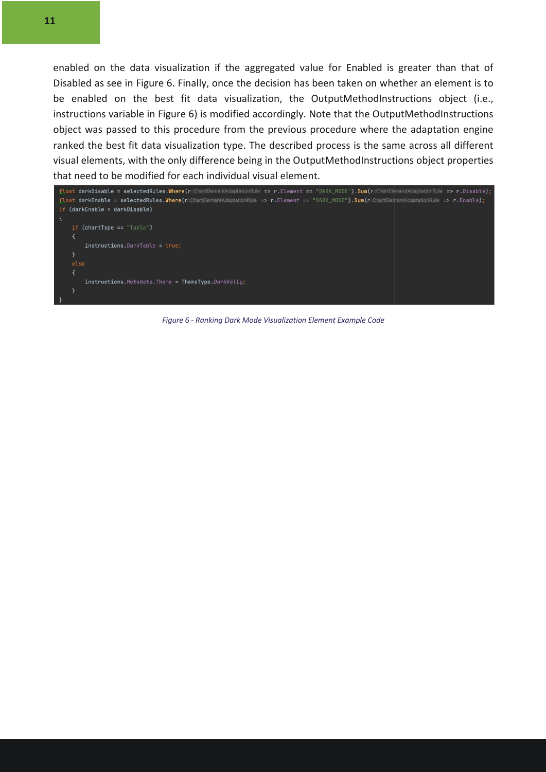enabled on the data visualization if the aggregated value for Enabled is greater than that of Disabled as see in Figure 6. Finally, once the decision has been taken on whether an element is to be enabled on the best fit data visualization, the OutputMethodInstructions object (i.e., instructions variable in Figure 6) is modified accordingly. Note that the OutputMethodInstructions object was passed to this procedure from the previous procedure where the adaptation engine ranked the best fit data visualization type. The described process is the same across all different visual elements, with the only difference being in the OutputMethodInstructions object properties that need to be modified for each individual visual element.



*Figure 6 - Ranking Dark Mode Visualization Element Example Code*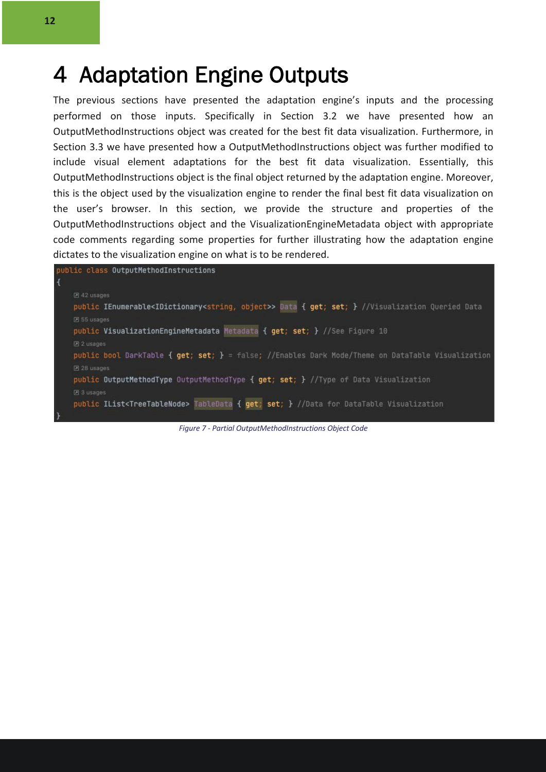### 4 Adaptation Engine Outputs

The previous sections have presented the adaptation engine's inputs and the processing performed on those inputs. Specifically in Section 3.2 we have presented how an OutputMethodInstructions object was created for the best fit data visualization. Furthermore, in Section 3.3 we have presented how a OutputMethodInstructions object was further modified to include visual element adaptations for the best fit data visualization. Essentially, this OutputMethodInstructions object is the final object returned by the adaptation engine. Moreover, this is the object used by the visualization engine to render the final best fit data visualization on the user's browser. In this section, we provide the structure and properties of the OutputMethodInstructions object and the VisualizationEngineMetadata object with appropriate code comments regarding some properties for further illustrating how the adaptation engine dictates to the visualization engine on what is to be rendered.



*Figure 7 - Partial OutputMethodInstructions Object Code*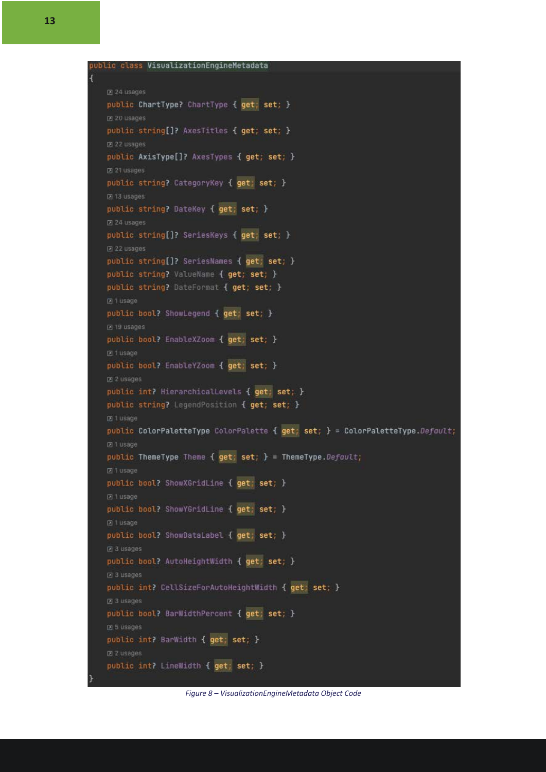```
Z 24 usages
public ChartType? ChartType { get; set; }
D 20 usages
public string[]? AxesTitles { get; set; }
图 22 usages
public AxisType[]? AxesTypes { get; set; }
2 21 usages
public string? CategoryKey { get; set; }
2 13 usages
public string? DateKey { get; set; }
24 usages
public string[]? SeriesKeys { get; set; }
团 22 usages
public string[]? SeriesNames { get; set; }
public string? ValueName { get; set; }
public string? DateFormat { get; set; }
21 Usage
public bool? ShowLegend { get; set; }
Z 19 usages
public bool? EnableXZoom { get; set; }
团 1 usage
public bool? EnableYZoom { get; set; }
Z 2 usages
public int? HierarchicalLevels { get; set; }
public string? LegendPosition { get; set; }
PT 1 usage
public ColorPaletteType ColorPalette { get; set; } = ColorPaletteType.Default;
PT 1 usage
public ThemeType Theme { get; set; } = ThemeType.Default;
回1 usage
public bool? ShowXGridLine { get; set; }
回1 usage
public bool? ShowYGridLine { get; set; }
public bool? ShowDataLabel { get; set; }
Z 3 usages
public bool? AutoHeightWidth { get; set; }
Z 3 usages
public int? CellSizeForAutoHeightWidth { get; set; }
因3 usages
public bool? BarWidthPercent { get; set; }
図 5 usages
public int? BarWidth { get; set; }
Z 2 usages
public int? LineWidth { get; set; }
```
*Figure 8 – VisualizationEngineMetadata Object Code*

Î